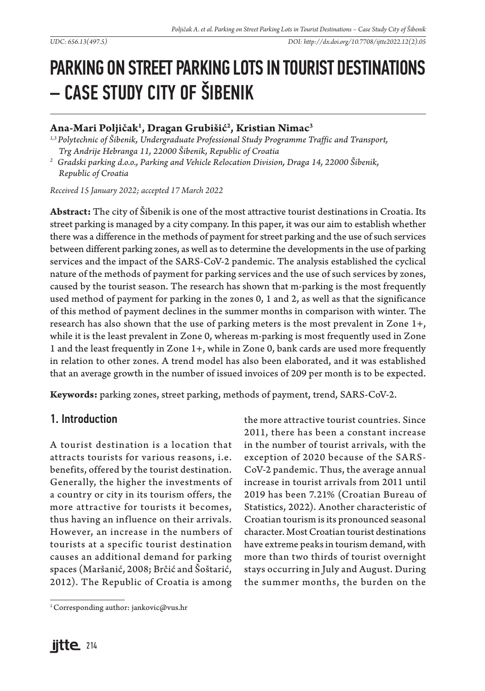# PARKING ON STREET PARKING LOTS IN TOURIST DESTINATIONS – CASE STUDY CITY OF ŠIBENIK

# **Ana-Mari Poljičak1 , Dragan Grubišić2 , Kristian Nimac3**

*1,3 Polytechnic of Šibenik, Undergraduate Professional Study Programme Traffic and Transport, Trg Andrije Hebranga 11, 22000 Šibenik, Republic of Croatia*

*2 Gradski parking d.o.o., Parking and Vehicle Relocation Division, Draga 14, 22000 Šibenik, Republic of Croatia*

*Received 15 January 2022; accepted 17 March 2022*

**Abstract:** The city of Šibenik is one of the most attractive tourist destinations in Croatia. Its street parking is managed by a city company. In this paper, it was our aim to establish whether there was a difference in the methods of payment for street parking and the use of such services between different parking zones, as well as to determine the developments in the use of parking services and the impact of the SARS-CoV-2 pandemic. The analysis established the cyclical nature of the methods of payment for parking services and the use of such services by zones, caused by the tourist season. The research has shown that m-parking is the most frequently used method of payment for parking in the zones 0, 1 and 2, as well as that the significance of this method of payment declines in the summer months in comparison with winter. The research has also shown that the use of parking meters is the most prevalent in Zone 1+, while it is the least prevalent in Zone 0, whereas m-parking is most frequently used in Zone 1 and the least frequently in Zone 1+, while in Zone 0, bank cards are used more frequently in relation to other zones. A trend model has also been elaborated, and it was established that an average growth in the number of issued invoices of 209 per month is to be expected.

**Keywords:** parking zones, street parking, methods of payment, trend, SARS-CoV-2.

## 1. Introduction

A tourist destination is a location that attracts tourists for various reasons, i.e. benefits, offered by the tourist destination. Generally, the higher the investments of a country or city in its tourism offers, the more attractive for tourists it becomes, thus having an influence on their arrivals. However, an increase in the numbers of tourists at a specific tourist destination causes an additional demand for parking spaces (Maršanić, 2008; Brčić and Šoštarić, 2012). The Republic of Croatia is among

<sup>1</sup> Corresponding author: jankovic@vus.hr

the more attractive tourist countries. Since 2011, there has been a constant increase in the number of tourist arrivals, with the exception of 2020 because of the SARS-CoV-2 pandemic. Thus, the average annual increase in tourist arrivals from 2011 until 2019 has been 7.21% (Croatian Bureau of Statistics, 2022). Another characteristic of Croatian tourism is its pronounced seasonal character. Most Croatian tourist destinations have extreme peaks in tourism demand, with more than two thirds of tourist overnight stays occurring in July and August. During the summer months, the burden on the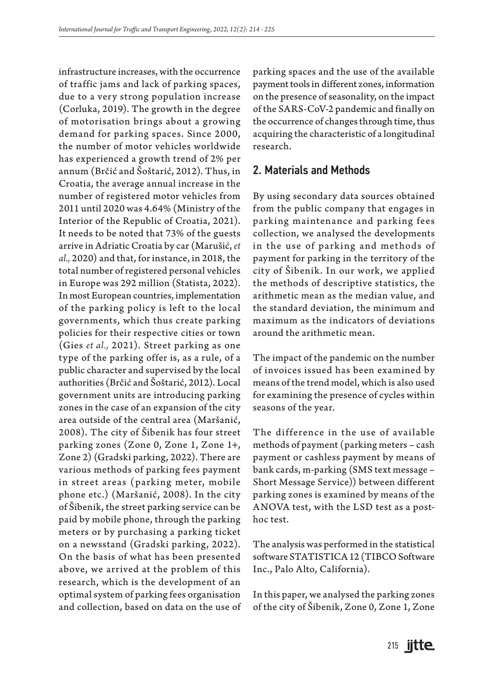infrastructure increases, with the occurrence of traffic jams and lack of parking spaces, due to a very strong population increase (Corluka, 2019). The growth in the degree of motorisation brings about a growing demand for parking spaces. Since 2000, the number of motor vehicles worldwide has experienced a growth trend of 2% per annum (Brčić and Šoštarić, 2012). Thus, in Croatia, the average annual increase in the number of registered motor vehicles from 2011 until 2020 was 4.64% (Ministry of the Interior of the Republic of Croatia, 2021). It needs to be noted that 73% of the guests arrive in Adriatic Croatia by car (Marušić, *et al.,* 2020) and that, for instance, in 2018, the total number of registered personal vehicles in Europe was 292 million (Statista, 2022). In most European countries, implementation of the parking policy is left to the local governments, which thus create parking policies for their respective cities or town (Gies *et al.,* 2021). Street parking as one type of the parking offer is, as a rule, of a public character and supervised by the local authorities (Brčić and Šoštarić, 2012). Local government units are introducing parking zones in the case of an expansion of the city area outside of the central area (Maršanić, 2008). The city of Šibenik has four street parking zones (Zone 0, Zone 1, Zone 1+, Zone 2) (Gradski parking, 2022). There are various methods of parking fees payment in street areas (parking meter, mobile phone etc.) (Maršanić, 2008). In the city of Šibenik, the street parking service can be paid by mobile phone, through the parking meters or by purchasing a parking ticket on a newsstand (Gradski parking, 2022). On the basis of what has been presented above, we arrived at the problem of this research, which is the development of an optimal system of parking fees organisation and collection, based on data on the use of parking spaces and the use of the available payment tools in different zones, information on the presence of seasonality, on the impact of the SARS-CoV-2 pandemic and finally on the occurrence of changes through time, thus acquiring the characteristic of a longitudinal research.

### 2. Materials and Methods

By using secondary data sources obtained from the public company that engages in parking maintenance and parking fees collection, we analysed the developments in the use of parking and methods of payment for parking in the territory of the city of Šibenik. In our work, we applied the methods of descriptive statistics, the arithmetic mean as the median value, and the standard deviation, the minimum and maximum as the indicators of deviations around the arithmetic mean.

The impact of the pandemic on the number of invoices issued has been examined by means of the trend model, which is also used for examining the presence of cycles within seasons of the year.

The difference in the use of available methods of payment (parking meters – cash payment or cashless payment by means of bank cards, m-parking (SMS text message – Short Message Service)) between different parking zones is examined by means of the ANOVA test, with the LSD test as a posthoc test.

The analysis was performed in the statistical software STATISTICA 12 (TIBCO Software Inc., Palo Alto, California).

In this paper, we analysed the parking zones of the city of Šibenik, Zone 0, Zone 1, Zone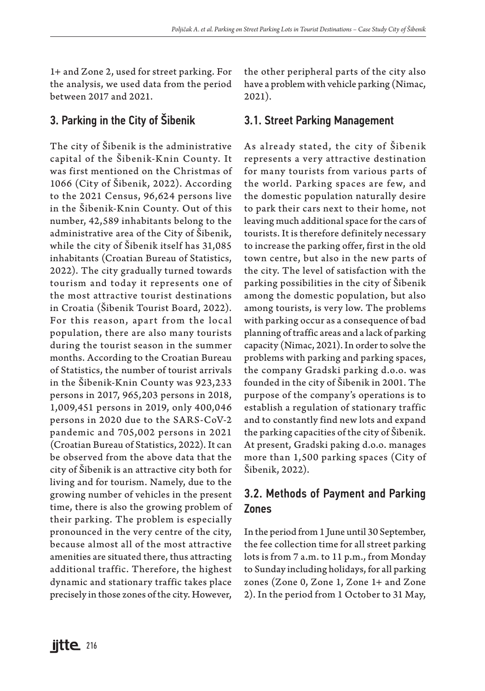1+ and Zone 2, used for street parking. For the analysis, we used data from the period between 2017 and 2021.

## 3. Parking in the City of Šibenik

The city of Šibenik is the administrative capital of the Šibenik-Knin County. It was first mentioned on the Christmas of 1066 (City of Šibenik, 2022). According to the 2021 Census, 96,624 persons live in the Šibenik-Knin County. Out of this number, 42,589 inhabitants belong to the administrative area of the City of Šibenik, while the city of Šibenik itself has 31,085 inhabitants (Croatian Bureau of Statistics, 2022). The city gradually turned towards tourism and today it represents one of the most attractive tourist destinations in Croatia (Šibenik Tourist Board, 2022). For this reason, apart from the local population, there are also many tourists during the tourist season in the summer months. According to the Croatian Bureau of Statistics, the number of tourist arrivals in the Šibenik-Knin County was 923,233 persons in 2017, 965,203 persons in 2018, 1,009,451 persons in 2019, only 400,046 persons in 2020 due to the SARS-CoV-2 pandemic and 705,002 persons in 2021 (Croatian Bureau of Statistics, 2022). It can be observed from the above data that the city of Šibenik is an attractive city both for living and for tourism. Namely, due to the growing number of vehicles in the present time, there is also the growing problem of their parking. The problem is especially pronounced in the very centre of the city, because almost all of the most attractive amenities are situated there, thus attracting additional traffic. Therefore, the highest dynamic and stationary traffic takes place precisely in those zones of the city. However, the other peripheral parts of the city also have a problem with vehicle parking (Nimac, 2021).

## 3.1. Street Parking Management

As already stated, the city of Šibenik represents a very attractive destination for many tourists from various parts of the world. Parking spaces are few, and the domestic population naturally desire to park their cars next to their home, not leaving much additional space for the cars of tourists. It is therefore definitely necessary to increase the parking offer, first in the old town centre, but also in the new parts of the city. The level of satisfaction with the parking possibilities in the city of Šibenik among the domestic population, but also among tourists, is very low. The problems with parking occur as a consequence of bad planning of traffic areas and a lack of parking capacity (Nimac, 2021). In order to solve the problems with parking and parking spaces, the company Gradski parking d.o.o. was founded in the city of Šibenik in 2001. The purpose of the company's operations is to establish a regulation of stationary traffic and to constantly find new lots and expand the parking capacities of the city of Šibenik. At present, Gradski paking d.o.o. manages more than 1,500 parking spaces (City of Šibenik, 2022).

# 3.2. Methods of Payment and Parking Zones

In the period from 1 June until 30 September, the fee collection time for all street parking lots is from 7 a.m. to 11 p.m., from Monday to Sunday including holidays, for all parking zones (Zone 0, Zone 1, Zone 1+ and Zone 2). In the period from 1 October to 31 May,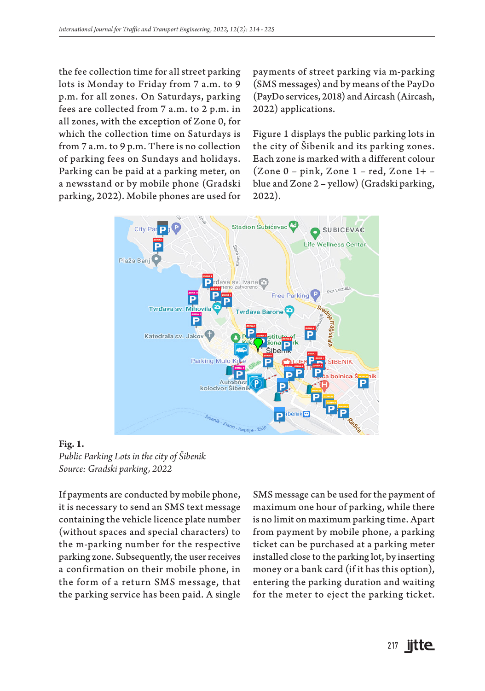the fee collection time for all street parking lots is Monday to Friday from 7 a.m. to 9 p.m. for all zones. On Saturdays, parking fees are collected from 7 a.m. to 2 p.m. in all zones, with the exception of Zone 0, for which the collection time on Saturdays is from 7 a.m. to 9 p.m. There is no collection of parking fees on Sundays and holidays. Parking can be paid at a parking meter, on a newsstand or by mobile phone (Gradski parking, 2022). Mobile phones are used for

payments of street parking via m-parking (SMS messages) and by means of the PayDo (PayDo services, 2018) and Aircash (Aircash, 2022) applications.

Figure 1 displays the public parking lots in the city of Šibenik and its parking zones. Each zone is marked with a different colour (Zone 0 – pink, Zone 1 – red, Zone 1+ – blue and Zone 2 – yellow) (Gradski parking, 2022).



**Fig. 1.**  *Public Parking Lots in the city of Šibenik Source: Gradski parking, 2022*

If payments are conducted by mobile phone, it is necessary to send an SMS text message containing the vehicle licence plate number (without spaces and special characters) to the m-parking number for the respective parking zone. Subsequently, the user receives a confirmation on their mobile phone, in the form of a return SMS message, that the parking service has been paid. A single

SMS message can be used for the payment of maximum one hour of parking, while there is no limit on maximum parking time. Apart from payment by mobile phone, a parking ticket can be purchased at a parking meter installed close to the parking lot, by inserting money or a bank card (if it has this option), entering the parking duration and waiting for the meter to eject the parking ticket.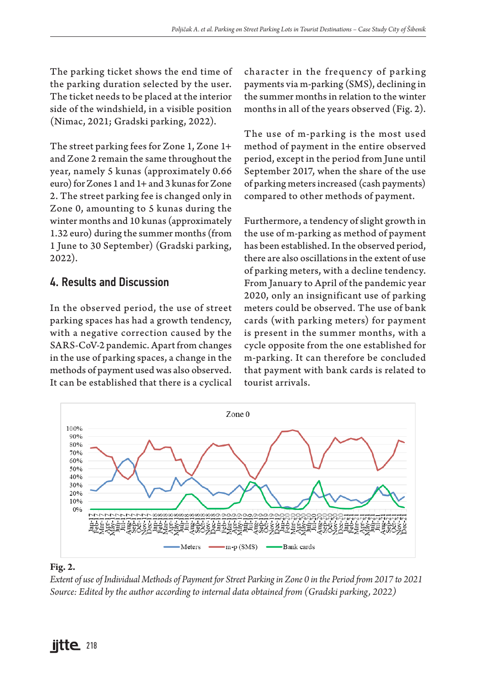The parking ticket shows the end time of the parking duration selected by the user. The ticket needs to be placed at the interior side of the windshield, in a visible position (Nimac, 2021; Gradski parking, 2022).

The street parking fees for Zone 1, Zone 1+ and Zone 2 remain the same throughout the year, namely 5 kunas (approximately 0.66 euro) for Zones 1 and 1+ and 3 kunas for Zone 2. The street parking fee is changed only in Zone 0, amounting to 5 kunas during the winter months and 10 kunas (approximately 1.32 euro) during the summer months (from 1 June to 30 September) (Gradski parking, 2022).

## 4. Results and Discussion

In the observed period, the use of street parking spaces has had a growth tendency, with a negative correction caused by the SARS-CoV-2 pandemic. Apart from changes in the use of parking spaces, a change in the methods of payment used was also observed. It can be established that there is a cyclical character in the frequency of parking payments via m-parking (SMS), declining in the summer months in relation to the winter months in all of the years observed (Fig. 2).

The use of m-parking is the most used method of payment in the entire observed period, except in the period from June until September 2017, when the share of the use of parking meters increased (cash payments) compared to other methods of payment.

Furthermore, a tendency of slight growth in the use of m-parking as method of payment has been established. In the observed period, there are also oscillations in the extent of use of parking meters, with a decline tendency. From January to April of the pandemic year 2020, only an insignificant use of parking meters could be observed. The use of bank cards (with parking meters) for payment is present in the summer months, with a cycle opposite from the one established for m-parking. It can therefore be concluded that payment with bank cards is related to tourist arrivals.



#### **Fig. 2.**

*Extent of use of Individual Methods of Payment for Street Parking in Zone 0 in the Period from 2017 to 2021 Source: Edited by the author according to internal data obtained from (Gradski parking, 2022)*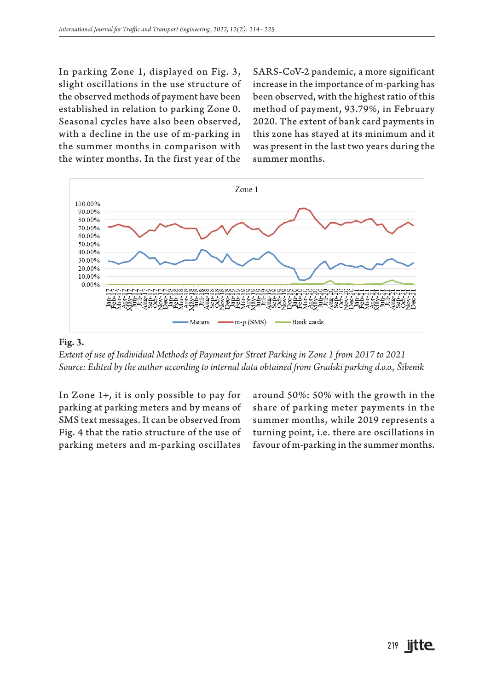In parking Zone 1, displayed on Fig. 3, slight oscillations in the use structure of the observed methods of payment have been established in relation to parking Zone 0. Seasonal cycles have also been observed, with a decline in the use of m-parking in the summer months in comparison with the winter months. In the first year of the

SARS-CoV-2 pandemic, a more significant increase in the importance of m-parking has been observed, with the highest ratio of this method of payment, 93.79%, in February 2020. The extent of bank card payments in this zone has stayed at its minimum and it was present in the last two years during the summer months.



#### **Fig. 3.**

*Extent of use of Individual Methods of Payment for Street Parking in Zone 1 from 2017 to 2021 Source: Edited by the author according to internal data obtained from Gradski parking d.o.o., Šibenik*

In Zone 1+, it is only possible to pay for parking at parking meters and by means of SMS text messages. It can be observed from Fig. 4 that the ratio structure of the use of parking meters and m-parking oscillates

around 50%: 50% with the growth in the share of parking meter payments in the summer months, while 2019 represents a turning point, i.e. there are oscillations in favour of m-parking in the summer months.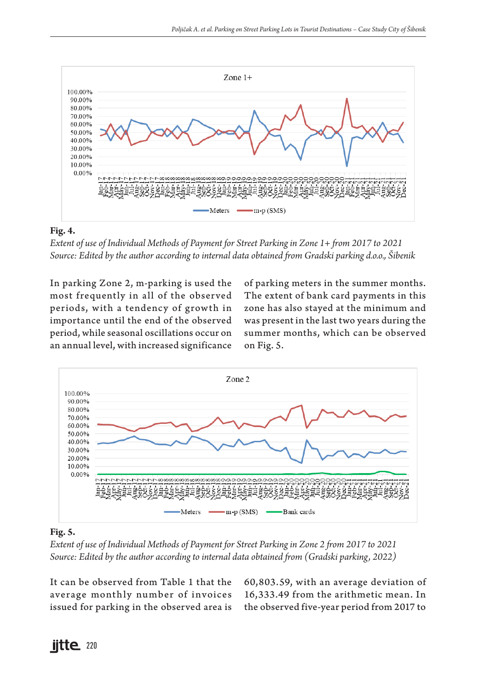

#### **Fig. 4.**

*Extent of use of Individual Methods of Payment for Street Parking in Zone 1+ from 2017 to 2021 Source: Edited by the author according to internal data obtained from Gradski parking d.o.o., Šibenik*

In parking Zone 2, m-parking is used the most frequently in all of the observed periods, with a tendency of growth in importance until the end of the observed period, while seasonal oscillations occur on an annual level, with increased significance

of parking meters in the summer months. The extent of bank card payments in this zone has also stayed at the minimum and was present in the last two years during the summer months, which can be observed on Fig. 5.



#### **Fig. 5.**

*Extent of use of Individual Methods of Payment for Street Parking in Zone 2 from 2017 to 2021 Source: Edited by the author according to internal data obtained from (Gradski parking, 2022)*

It can be observed from Table 1 that the average monthly number of invoices issued for parking in the observed area is

60,803.59, with an average deviation of 16,333.49 from the arithmetic mean. In the observed five-year period from 2017 to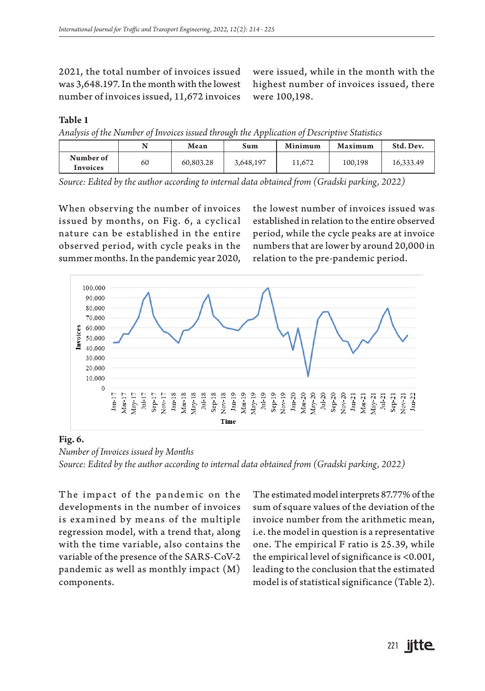2021, the total number of invoices issued was 3,648.197. In the month with the lowest number of invoices issued, 11,672 invoices

were issued, while in the month with the highest number of invoices issued, there were 100,198.

#### **Table 1**

*Analysis of the Number of Invoices issued through the Application of Descriptive Statistics*

|                       |    | Mean      | Sum       | Minimum | Maximum | Std. Dev. |
|-----------------------|----|-----------|-----------|---------|---------|-----------|
| Number of<br>Invoices | 60 | 60,803.28 | 3,648,197 | 11.672  | 100.198 | 16,333.49 |

*Source: Edited by the author according to internal data obtained from (Gradski parking, 2022)*

When observing the number of invoices issued by months, on Fig. 6, a cyclical nature can be established in the entire observed period, with cycle peaks in the summer months. In the pandemic year 2020, the lowest number of invoices issued was established in relation to the entire observed period, while the cycle peaks are at invoice numbers that are lower by around 20,000 in relation to the pre-pandemic period.



#### **Fig. 6.**

*Number of Invoices issued by Months Source: Edited by the author according to internal data obtained from (Gradski parking, 2022)*

The impact of the pandemic on the developments in the number of invoices is examined by means of the multiple regression model, with a trend that, along with the time variable, also contains the variable of the presence of the SARS-CoV-2 pandemic as well as monthly impact (M) components.

The estimated model interprets 87.77% of the sum of square values of the deviation of the invoice number from the arithmetic mean, i.e. the model in question is a representative one. The empirical F ratio is 25.39, while the empirical level of significance is <0.001, leading to the conclusion that the estimated model is of statistical significance (Table 2).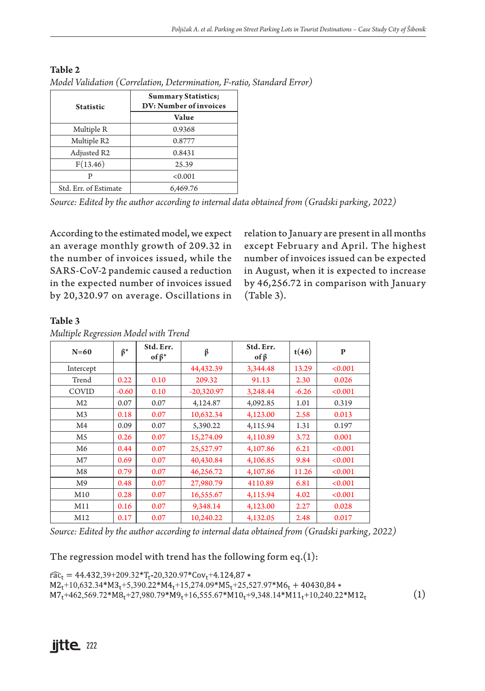| <b>Statistic</b>      | <b>Summary Statistics;</b><br>DV: Number of invoices |  |  |
|-----------------------|------------------------------------------------------|--|--|
|                       | Value                                                |  |  |
| Multiple R            | 0.9368                                               |  |  |
| Multiple R2           | 0.8777                                               |  |  |
| Adjusted R2           | 0.8431                                               |  |  |
| F(13.46)              | 25.39                                                |  |  |
|                       | < 0.001                                              |  |  |
| Std. Err. of Estimate | 6,469.76                                             |  |  |

**Table 2** *Model Validation (Correlation, Determination, F-ratio, Standard Error)*

*Source: Edited by the author according to internal data obtained from (Gradski parking, 2022)*

According to the estimated model, we expect an average monthly growth of 209.32 in the number of invoices issued, while the SARS-CoV-2 pandemic caused a reduction in the expected number of invoices issued by 20,320.97 on average. Oscillations in relation to January are present in all months except February and April. The highest number of invoices issued can be expected in August, when it is expected to increase by 46,256.72 in comparison with January (Table 3).

#### **Table 3**

|  | Multiple Regression Model with Trend |  |  |
|--|--------------------------------------|--|--|
|  |                                      |  |  |

| $N=60$         | $\beta^*$ | Std. Err.<br>of $\beta^*$ | β            | Std. Err.<br>$of \beta$ | t(46)   | P       |
|----------------|-----------|---------------------------|--------------|-------------------------|---------|---------|
| Intercept      |           |                           | 44,432.39    | 3,344.48                | 13.29   | < 0.001 |
| Trend          | 0.22      | 0.10                      | 209.32       | 91.13                   | 2.30    | 0.026   |
| COVID          | $-0.60$   | 0.10                      | $-20,320.97$ | 3,248.44                | $-6.26$ | < 0.001 |
| M <sub>2</sub> | 0.07      | 0.07                      | 4,124.87     | 4,092.85                | 1.01    | 0.319   |
| M <sub>3</sub> | 0.18      | 0.07                      | 10,632.34    | 4,123.00                | 2.58    | 0.013   |
| M4             | 0.09      | 0.07                      | 5,390.22     | 4,115.94                | 1.31    | 0.197   |
| M5             | 0.26      | 0.07                      | 15,274.09    | 4,110.89                | 3.72    | 0.001   |
| M6             | 0.44      | 0.07                      | 25,527.97    | 4,107.86                | 6.21    | < 0.001 |
| M7             | 0.69      | 0.07                      | 40,430.84    | 4,106.85                | 9.84    | < 0.001 |
| M8             | 0.79      | 0.07                      | 46,256.72    | 4,107.86                | 11.26   | < 0.001 |
| M9             | 0.48      | 0.07                      | 27,980.79    | 4110.89                 | 6.81    | < 0.001 |
| M10            | 0.28      | 0.07                      | 16,555.67    | 4,115.94                | 4.02    | < 0.001 |
| M11            | 0.16      | 0.07                      | 9,348.14     | 4,123.00                | 2.27    | 0.028   |
| M12            | 0.17      | 0.07                      | 10,240.22    | 4,132.05                | 2.48    | 0.017   |

*Source: Edited by the author according to internal data obtained from (Gradski parking, 2022)*

The regression model with trend has the following form  $eq.(1)$ :

 $r\widehat{ac}_t = 44.43239 + 209.32 \cdot T_t - 20320.97 \cdot Cov_t + 4.124.87 \cdot$  $M2_t+10,632.34*M3_t+5,390.22*M4_t+15,274.09*M5_t+25,527.97*M6_t+40430,84*$  $M7_t + 462569.72 * M8_t + 27980.79 * M9_t + 16555.67 * M10_t + 9348.14 * M11_t + 10240.22 * M12_t$ (1)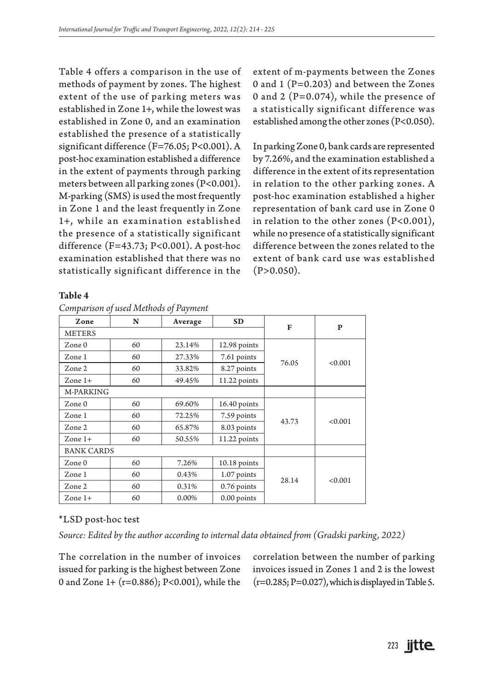Table 4 offers a comparison in the use of methods of payment by zones. The highest extent of the use of parking meters was established in Zone 1+, while the lowest was established in Zone 0, and an examination established the presence of a statistically significant difference (F=76.05; P<0.001). A post-hoc examination established a difference in the extent of payments through parking meters between all parking zones (P<0.001). M-parking (SMS) is used the most frequently in Zone 1 and the least frequently in Zone 1+, while an examination established the presence of a statistically significant difference (F=43.73; P<0.001). A post-hoc examination established that there was no statistically significant difference in the

**Table 4**

*Comparison of used Methods of Payment*

extent of m-payments between the Zones 0 and 1 (P=0.203) and between the Zones 0 and 2 ( $P=0.074$ ), while the presence of a statistically significant difference was established among the other zones (P<0.050).

In parking Zone 0, bank cards are represented by 7.26%, and the examination established a difference in the extent of its representation in relation to the other parking zones. A post-hoc examination established a higher representation of bank card use in Zone 0 in relation to the other zones (P<0.001), while no presence of a statistically significant difference between the zones related to the extent of bank card use was established  $(P>0.050)$ .

| Zone              | N  | Average | <b>SD</b>      | F     | P       |  |
|-------------------|----|---------|----------------|-------|---------|--|
| <b>METERS</b>     |    |         |                |       |         |  |
| Zone 0            | 60 | 23.14%  | 12.98 points   |       | < 0.001 |  |
| Zone 1            | 60 | 27.33%  | 7.61 points    |       |         |  |
| Zone 2            | 60 | 33.82%  | 8.27 points    | 76.05 |         |  |
| Zone $1+$         | 60 | 49.45%  | 11.22 points   |       |         |  |
| M-PARKING         |    |         |                |       |         |  |
| Zone 0            | 60 | 69.60%  | $16.40$ points |       | < 0.001 |  |
| Zone 1            | 60 | 72.25%  | 7.59 points    |       |         |  |
| Zone 2            | 60 | 65.87%  | 8.03 points    | 43.73 |         |  |
| Zone $1+$         | 60 | 50.55%  | 11.22 points   |       |         |  |
| <b>BANK CARDS</b> |    |         |                |       |         |  |
| $Z$ one $0$       | 60 | 7.26%   | $10.18$ points |       | < 0.001 |  |
| Zone 1            | 60 | 0.43%   | 1.07 points    |       |         |  |
| Zone 2            | 60 | 0.31%   | 0.76 points    | 28.14 |         |  |
| Zone $1+$         | 60 | 0.00%   | 0.00 points    |       |         |  |

#### \*LSD post-hoc test

*Source: Edited by the author according to internal data obtained from (Gradski parking, 2022)*

The correlation in the number of invoices issued for parking is the highest between Zone 0 and Zone 1+ (r=0.886); P<0.001), while the

correlation between the number of parking invoices issued in Zones 1 and 2 is the lowest  $(r=0.285; P=0.027)$ , which is displayed in Table 5.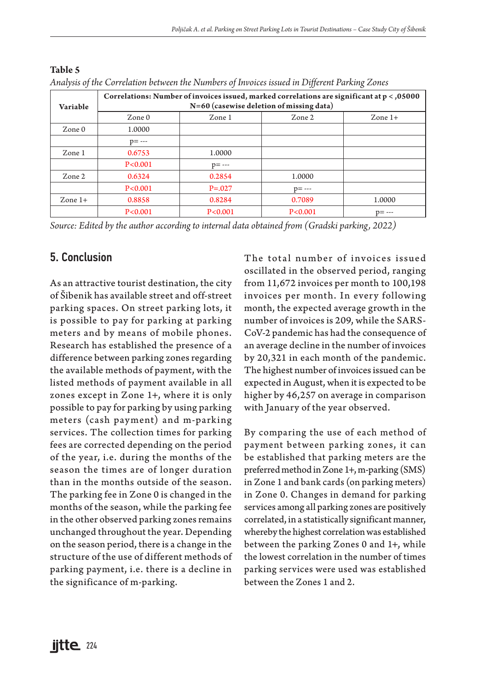| Variable  | Correlations: Number of invoices issued, marked correlations are significant at $p < 0.05000$<br>N=60 (casewise deletion of missing data) |             |           |           |  |  |  |
|-----------|-------------------------------------------------------------------------------------------------------------------------------------------|-------------|-----------|-----------|--|--|--|
|           | $Z$ one $0$                                                                                                                               | Zone 1      | Zone 2    | Zone $1+$ |  |  |  |
| Zone 0    | 1.0000                                                                                                                                    |             |           |           |  |  |  |
|           | $p = - -$                                                                                                                                 |             |           |           |  |  |  |
| Zone 1    | 0.6753                                                                                                                                    | 1.0000      |           |           |  |  |  |
|           | P < 0.001                                                                                                                                 | $p = - -$   |           |           |  |  |  |
| Zone 2    | 0.6324                                                                                                                                    | 0.2854      | 1.0000    |           |  |  |  |
|           | P < 0.001                                                                                                                                 | $P = 0.027$ | $p = - -$ |           |  |  |  |
| Zone $1+$ | 0.8858                                                                                                                                    | 0.8284      | 0.7089    | 1.0000    |  |  |  |
|           | P < 0.001                                                                                                                                 | P < 0.001   | P < 0.001 | $p = - -$ |  |  |  |

**Table 5** *Analysis of the Correlation between the Numbers of Invoices issued in Different Parking Zones*

*Source: Edited by the author according to internal data obtained from (Gradski parking, 2022)*

## 5. Conclusion

As an attractive tourist destination, the city of Šibenik has available street and off-street parking spaces. On street parking lots, it is possible to pay for parking at parking meters and by means of mobile phones. Research has established the presence of a difference between parking zones regarding the available methods of payment, with the listed methods of payment available in all zones except in Zone 1+, where it is only possible to pay for parking by using parking meters (cash payment) and m-parking services. The collection times for parking fees are corrected depending on the period of the year, i.e. during the months of the season the times are of longer duration than in the months outside of the season. The parking fee in Zone 0 is changed in the months of the season, while the parking fee in the other observed parking zones remains unchanged throughout the year. Depending on the season period, there is a change in the structure of the use of different methods of parking payment, i.e. there is a decline in the significance of m-parking.

The total number of invoices issued oscillated in the observed period, ranging from 11,672 invoices per month to 100,198 invoices per month. In every following month, the expected average growth in the number of invoices is 209, while the SARS-CoV-2 pandemic has had the consequence of an average decline in the number of invoices by 20,321 in each month of the pandemic. The highest number of invoices issued can be expected in August, when it is expected to be higher by 46,257 on average in comparison with January of the year observed.

By comparing the use of each method of payment between parking zones, it can be established that parking meters are the preferred method in Zone 1+, m-parking (SMS) in Zone 1 and bank cards (on parking meters) in Zone 0. Changes in demand for parking services among all parking zones are positively correlated, in a statistically significant manner, whereby the highest correlation was established between the parking Zones 0 and 1+, while the lowest correlation in the number of times parking services were used was established between the Zones 1 and 2.